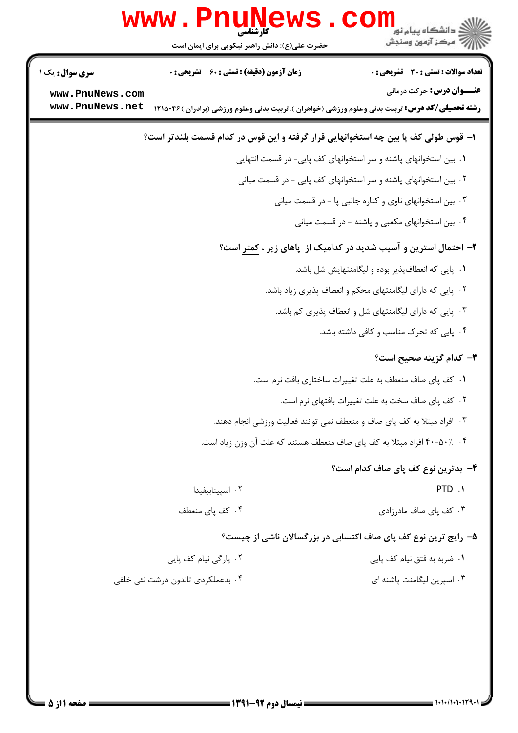|                                    | w w w<br>حضرت علی(ع): دانش راهبر نیکویی برای ایمان است | د دانشڪاه پيام نور<br>د مرڪز آزمون وسنڊش                                                                                                  |
|------------------------------------|--------------------------------------------------------|-------------------------------------------------------------------------------------------------------------------------------------------|
| <b>سری سوال :</b> یک ۱             | <b>زمان آزمون (دقیقه) : تستی : 60 ٪ تشریحی : 0</b>     | <b>تعداد سوالات : تستی : 30 ٪ تشریحی : 0</b>                                                                                              |
| www.PnuNews.com<br>www.PnuNews.net |                                                        | <b>عنـــوان درس:</b> حرکت درمانی<br><b>رشته تحصیلی/کد درس:</b> تربیت بدنی وعلوم ورزشی (خواهران )،تربیت بدنی وعلوم ورزشی (برادران )۴۶×۱۲۱۵ |
|                                    |                                                        | ا– قوس طولی کف پا بین چه استخوانهایی قرار گرفته و این قوس در کدام قسمت بلندتر است؟                                                        |
|                                    |                                                        | ۰۱ بین استخوانهای پاشنه و سر استخوانهای کف پایی- در قسمت انتهایی                                                                          |
|                                    |                                                        | ۰۲ بین استخوانهای پاشنه و سر استخوانهای کف پایی - در قسمت میانی                                                                           |
|                                    |                                                        | ۰۳ بین استخوانهای ناوی و کناره جانبی پا - در قسمت میانی                                                                                   |
|                                    |                                                        | ۰۴ بین استخوانهای مکعبی و پاشنه - در قسمت میانی                                                                                           |
|                                    |                                                        | ۲- احتمال استرین و آسیب شدید در کدامیک از پاهای زیر ، <u>کمتر</u> است؟                                                                    |
|                                    |                                                        | ۰۱ پایی که انعطافپذیر بوده و لیگامنتهایش شل باشد.                                                                                         |
|                                    |                                                        | ۰۲ پایی که دارای لیگامنتهای محکم و انعطاف پذیری زیاد باشد.                                                                                |
|                                    |                                                        | ۰۳ پایی که دارای لیگامنتهای شل و انعطاف پذیری کم باشد.                                                                                    |
|                                    |                                                        | ۰۴ پایی که تحرک مناسب و کافی داشته باشد.                                                                                                  |
|                                    |                                                        | ۳- کدام گزینه صحیح است؟                                                                                                                   |
|                                    |                                                        | ٠١ كف پاى صاف منعطف به علت تغييرات ساختارى بافت نرم است.                                                                                  |
|                                    |                                                        | ٠٢ كف پاى صاف سخت به علت تغييرات بافتهاى نرم است.                                                                                         |
|                                    |                                                        | ۰۳ افراد مبتلا به کف پای صاف و منعطف نمی توانند فعالیت ورزشی انجام دهند.                                                                  |
|                                    |                                                        | ۰۴ ٪۵۰–۴۰ افراد مبتلا به کف پای صاف منعطف هستند که علت آن وزن زیاد است.                                                                   |
|                                    |                                                        | ۴– بدترین نوع کف پای صاف کدام است؟                                                                                                        |
|                                    | ۰۲ اسپینابیفیدا                                        | PTD .1                                                                                                                                    |
|                                    | ۰۴ کف یای منعطف                                        | ۰۳ کف یای صاف مادرزادی                                                                                                                    |
|                                    |                                                        | ۵- رایج ترین نوع کف پای صاف اکتسابی در بزرگسالان ناشی از چیست؟                                                                            |
|                                    | ۰۲ پارگی نیام کف پایی                                  | ٠١. ضربه به فتق نيام كف پايي                                                                                                              |
|                                    | ۰۴ بدعملکردی تاندون درشت نئی خلفی                      | ۰۳ اسیرین لیگامنت یاشنه ای                                                                                                                |
|                                    |                                                        |                                                                                                                                           |
|                                    |                                                        |                                                                                                                                           |
|                                    |                                                        |                                                                                                                                           |
|                                    |                                                        |                                                                                                                                           |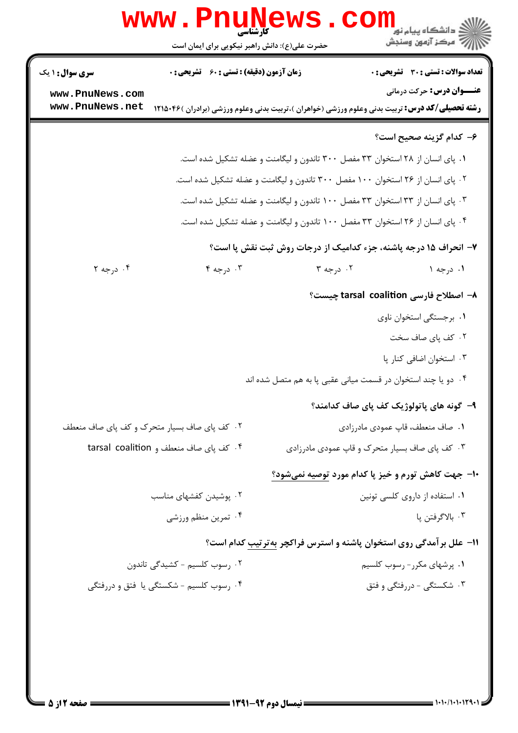|                                    | WWW.FII<br>کارشناسی<br>حضرت علی(ع): دانش راهبر نیکویی برای ایمان است                                   |                                                                                | <mark>د</mark> دانشگاه پيام نو <mark>ر</mark><br>رآ مرکز آزمون وسنجش       |
|------------------------------------|--------------------------------------------------------------------------------------------------------|--------------------------------------------------------------------------------|----------------------------------------------------------------------------|
| <b>سری سوال :</b> ۱ یک             | زمان آزمون (دقیقه) : تستی : 60 گشریحی : 0                                                              |                                                                                | <b>تعداد سوالات : تستی : 30 ٪ تشریحی : 0</b>                               |
| www.PnuNews.com<br>www.PnuNews.net | <b>رشته تحصیلی/کد درس:</b> تربیت بدنی وعلوم ورزشی (خواهران )،تربیت بدنی وعلوم ورزشی (برادران )۲۱۵۰۴۶ ( |                                                                                | <b>عنـــوان درس:</b> حرکت درمانی                                           |
|                                    |                                                                                                        |                                                                                | ۶– کدام گزینه صحیح است؟                                                    |
|                                    |                                                                                                        | ۰۱ پای انسان از ۲۸ استخوان ۳۳ مفصل ۳۰۰ تاندون و لیگامنت و عضله تشکیل شده است.  |                                                                            |
|                                    |                                                                                                        | ۰۲ پای انسان از ۲۶ استخوان ۱۰۰ مفصل ۳۰۰ تاندون و لیگامنت و عضله تشکیل شده است. |                                                                            |
|                                    |                                                                                                        | ۰۳ پای انسان از ۳۳ استخوان ۳۳ مفصل ۱۰۰ تاندون و لیگامنت و عضله تشکیل شده است.  |                                                                            |
|                                    |                                                                                                        | ۰۴ پای انسان از ۲۶ استخوان ۳۳ مفصل ۱۰۰ تاندون و لیگامنت و عضله تشکیل شده است.  |                                                                            |
|                                    |                                                                                                        |                                                                                | ۷- انحراف ۱۵ درجه پاشنه، جزء کدامیک از درجات روش ثبت نقش پا است؟           |
| ۰۴ درجه ۲                          | $F \sim 10^{-10}$                                                                                      | ۲. درجه ۳                                                                      | ۱. درجه ۱                                                                  |
|                                    |                                                                                                        |                                                                                | اصطلاح فارسی tarsal coalition چیست؟                                        |
|                                    |                                                                                                        |                                                                                | ٠١. برجستگي استخوان ناوي                                                   |
|                                    |                                                                                                        |                                                                                | ۰۲ کف پای صاف سخت                                                          |
|                                    |                                                                                                        |                                                                                | ٠٣ استخوان اضافي كنار پا                                                   |
|                                    |                                                                                                        | ۰۴ دو یا چند استخوان در قسمت میانی عقبی پا به هم متصل شده اند                  |                                                                            |
|                                    |                                                                                                        |                                                                                | ۹– گونه های پاتولوژیک کف پای صاف کدامند؟                                   |
|                                    | ۰۲ کف پای صاف بسیار متحرک و کف پای صاف منعطف                                                           |                                                                                | ٠١. صاف منعطف، قاپ عمودي مادرزادي                                          |
|                                    | ۰۴ کف پای صاف منعطف و tarsal coalition                                                                 |                                                                                | ۰۳ کف پای صاف بسیار متحرک و قاپ عمودی مادرزادی                             |
|                                    |                                                                                                        |                                                                                | ۱۰– جهت کاهش تورم و خیز پا کدام مورد توصیه نمیشود؟                         |
|                                    | ۰۲ پوشیدن کفشهای مناسب                                                                                 |                                                                                | ۰۱ استفاده از داروی کلسی تونین                                             |
|                                    | ۰۴ تمرین منظم ورزشی                                                                                    |                                                                                | ۰۳ بالاگرفتن پا                                                            |
|                                    |                                                                                                        |                                                                                | <b>۱۱- علل برآمدگی روی استخوان پاشنه و استرس فراکچر بهترتیب کدام است</b> ؟ |
|                                    | ۰۲ رسوب کلسیم - کشیدگی تاندون                                                                          |                                                                                | ۰۱ پرشهای مکرر- رسوب کلسیم                                                 |
|                                    | ۰۴ رسوب کلسیم - شکستگی یا فتق و دررفتگی                                                                |                                                                                | ۰۳ شکستگی - دررفتگی و فتق                                                  |
|                                    |                                                                                                        |                                                                                |                                                                            |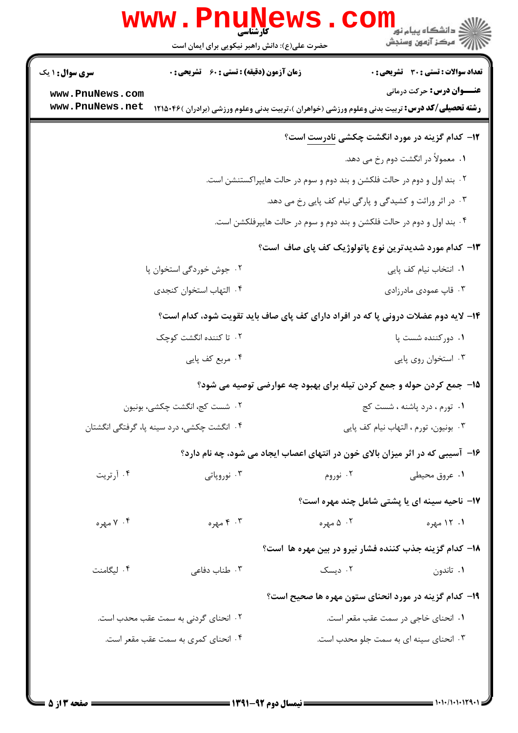|                                    | <b>www.Pnul</b><br>حضرت علی(ع): دانش راهبر نیکویی برای ایمان است |                                                                          | د دانشگاه پيام نو <mark>ر</mark><br>أأأ مركز آزمون وسنجش                                                                                  |
|------------------------------------|------------------------------------------------------------------|--------------------------------------------------------------------------|-------------------------------------------------------------------------------------------------------------------------------------------|
| <b>سری سوال : ۱ یک</b>             | <b>زمان آزمون (دقیقه) : تستی : 60 ٪ تشریحی : 0</b>               |                                                                          | تعداد سوالات : تستى : 30 - تشريحي : 0                                                                                                     |
| www.PnuNews.com<br>www.PnuNews.net |                                                                  |                                                                          | <b>عنـــوان درس:</b> حرکت درمانی<br><b>رشته تحصیلی/کد درس:</b> تربیت بدنی وعلوم ورزشی (خواهران )،تربیت بدنی وعلوم ورزشی (برادران )۴۶×۱۲۱۵ |
|                                    |                                                                  |                                                                          | <b>۱۲</b> - کدام گزینه در مورد انگشت چکشی نادرست است؟                                                                                     |
|                                    |                                                                  |                                                                          | ۰۱ معمولاً در انگشت دوم رخ می دهد.                                                                                                        |
|                                    |                                                                  | ۲. بند اول و دوم در حالت فلکشن و بند دوم و سوم در حالت هایپراکستنشن است. |                                                                                                                                           |
|                                    |                                                                  |                                                                          | ۰۳ در اثر وراثت و کشیدگی و پارگی نیام کف پایی رخ می دهد.                                                                                  |
|                                    |                                                                  | ۰۴ بند اول و دوم در حالت فلکشن و بند دوم و سوم در حالت هایپرفلکشن است.   |                                                                                                                                           |
|                                    |                                                                  |                                                                          | ۱۳- کدام مورد شدیدترین نوع پاتولوژیک کف پای صاف  است؟                                                                                     |
|                                    | ۰۲ جوش خوردگی استخوان پا                                         |                                                                          | ٠١. انتخاب نيام كف پايي                                                                                                                   |
|                                    | ۰۴ التهاب استخوان كنجدى                                          |                                                                          | ۰۳ قاپ عمودی مادرزادی                                                                                                                     |
|                                    |                                                                  |                                                                          | ۱۴- لایه دوم عضلات درونی پا که در افراد دارای کف پای صاف باید تقویت شود، کدام است؟                                                        |
|                                    | ۰۲ تا کننده انگشت کوچک                                           |                                                                          | ۰۱ دورکننده شست پا                                                                                                                        |
|                                    | ۰۴ مربع کف پایی                                                  |                                                                          | ۰۳ استخوان روی پایی                                                                                                                       |
|                                    |                                                                  |                                                                          | ۱۵– جمع کردن حوله و جمع کردن تیله برای بهبود چه عوارضی توصیه می شود؟                                                                      |
|                                    | ٢. شست كج، انگشت چكشي، بونيون                                    |                                                                          | ٠١ تورم ، درد پاشنه ، شست كج                                                                                                              |
|                                    | ۰۴ انگشت چکشی، درد سینه پا، گرفتگی انگشتان                       |                                                                          | ٠٣ بونيون، تورم ، التهاب نيام كف پايي                                                                                                     |
|                                    |                                                                  |                                                                          | ۱۶– آسیبی که در اثر میزان بالای خون در انتهای اعصاب ایجاد می شود، چه نام دارد؟                                                            |
| ۰۴ آرتریت                          | ۰۳ نوروپاتی                                                      | ۰۲ نوروم                                                                 | ۰۱ عروق محیطی                                                                                                                             |
|                                    |                                                                  |                                                                          | ۱۷– ناحیه سینه ای یا پشتی شامل چند مهره است؟                                                                                              |
| ۰۴ مهره                            | ۰۳ مهره                                                          | ۰۲ ۵ مهره                                                                | ۱. ۱۲ مهره                                                                                                                                |
|                                    |                                                                  |                                                                          | ۱۸– کدام گزینه جذب کننده فشار نیرو در بین مهره ها است؟                                                                                    |
| ۰۴ لیگامنت                         | ۰۳ طناب دفاعی                                                    | ۰۲ دیسک                                                                  | ۰۱ تاندون                                                                                                                                 |
|                                    |                                                                  |                                                                          | ۱۹– کدام گزینه در مورد انحنای ستون مهره ها صحیح است؟                                                                                      |
|                                    | ۰۲ انحنای گردنی به سمت عقب محدب است.                             |                                                                          | ۰۱ انحنای خاجی در سمت عقب مقعر است.                                                                                                       |
|                                    | ۰۴ انحنای کمری به سمت عقب مقعر است.                              |                                                                          | ۰۳ انحنای سینه ای به سمت جلو محدب است.                                                                                                    |
|                                    |                                                                  |                                                                          |                                                                                                                                           |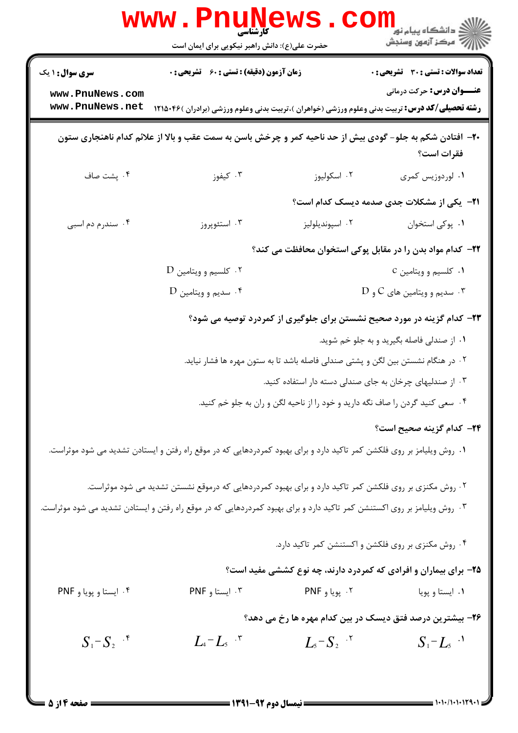|                                    | <b>www.Pnur</b><br>کا، شناسی<br>حضرت علی(ع): دانش راهبر نیکویی برای ایمان است                                            | ews                                    | ڪ دانشڪاه پيا <sub>م</sub> نور<br><mark>√</mark> مرڪز آزمون وسنڊش                |
|------------------------------------|--------------------------------------------------------------------------------------------------------------------------|----------------------------------------|----------------------------------------------------------------------------------|
| <b>سری سوال : ۱ یک</b>             | زمان آزمون (دقیقه) : تستی : 60 ٪ تشریحی : 0                                                                              |                                        | <b>تعداد سوالات : تستی : 30 ٪ تشریحی : 0</b>                                     |
| www.PnuNews.com<br>www.PnuNews.net | <b>رشته تحصیلی/کد درس:</b> تربیت بدنی وعلوم ورزشی (خواهران )،تربیت بدنی وعلوم ورزشی (برادران )۴۶×۱۲۱۵                    |                                        | <b>عنـــوان درس:</b> حرکت درمانی                                                 |
|                                    | ۲۰- افتادن شکم به جلو- گودی بیش از حد ناحیه کمر و چرخش باسن به سمت عقب و بالا از علائم کدام ناهنجاری ستون                |                                        | فقرات است؟                                                                       |
| ۰۴ پشت صاف                         | ۰۳ کیفوز                                                                                                                 | ۰۲ اسکولیوز                            | ۰۱ لوردوزیس کمری                                                                 |
|                                    |                                                                                                                          |                                        | <b>۲۱</b> - یکی از مشکلات جدی صدمه دیسک کدام است؟                                |
| ۰۴ سندرم دم اسبی                   | ۰۳ استئوپروز                                                                                                             | ۰۲ اسپونديلوليز                        | ٠١. پوکی استخوان                                                                 |
|                                    |                                                                                                                          |                                        | ۲۲- کدام مواد بدن را در مقابل پوکی استخوان محافظت می کند؟                        |
|                                    | ۰۲ کلسیم و ویتامین D                                                                                                     |                                        | ۰۱ کلسیم و ویتامین C                                                             |
|                                    | ۰۴ سديم و ويتامين D                                                                                                      |                                        | $\rm D$ . سديم و ويتامين هاي $\rm C$ و $\rm T$                                   |
|                                    |                                                                                                                          |                                        | ۲۳- کدام گزینه در مورد صحیح نشستن برای جلوگیری از کمردرد توصیه می شود؟           |
|                                    |                                                                                                                          |                                        | ۰۱ از صندلی فاصله بگیرید و به جلو خم شوید.                                       |
|                                    |                                                                                                                          |                                        | ۰۲ در هنگام نشستن بین لگن و پشتی صندلی فاصله باشد تا به ستون مهره ها فشار نیاید. |
|                                    |                                                                                                                          |                                        | ۰۳ از صندلیهای چرخان به جای صندلی دسته دار استفاده کنید.                         |
|                                    |                                                                                                                          |                                        | ۰۲ سعی کنید گردن را صاف نگه دارید و خود را از ناحیه لگن و ران به جلو خم کنید.    |
|                                    |                                                                                                                          |                                        | ٢۴– كدام گزينه صحيح است؟                                                         |
|                                    | ۰۱ روش ویلیامز بر روی فلکشن کمر تاکید دارد و برای بهبود کمردردهایی که در موقع راه رفتن و ایستادن تشدید می شود موثراست.   |                                        |                                                                                  |
|                                    | ۲۰ روش مکنزی بر روی فلکشن کمر تاکید دارد و برای بهبود کمردردهایی که درموقع نشستن تشدید می شود موثراست.                   |                                        |                                                                                  |
|                                    | ۰۳ روش ویلیامز بر روی اکستنشن کمر تاکید دارد و برای بهبود کمردردهایی که در موقع راه رفتن و ایستادن تشدید می شود موثراست. |                                        |                                                                                  |
|                                    |                                                                                                                          |                                        | ۰۴ روش مکنزی بر روی فلکشن و اکستنشن کمر تاکید دارد.                              |
|                                    |                                                                                                                          |                                        | ۲۵- برای بیماران و افرادی که کمردرد دارند، چه نوع کششی مفید است؟                 |
| ۰۴ ایستا و پویا و PNF              | ۰۳ ایستا و PNF                                                                                                           | ۰۲ پویا و PNF                          | ۰۱ ایستا و پویا                                                                  |
|                                    |                                                                                                                          |                                        | ۲۶- بیشترین درصد فتق دیسک در بین کدام مهره ها رخ می دهد؟                         |
| $S_1-S_2$ <sup>.*</sup>            | $L_4 - L_5$                                                                                                              | $L_{5}$ - $S_{2}$ $\cdot$ <sup>r</sup> | $S_1 - L_5$ <sup>.1</sup>                                                        |
| <b>: صفحه ۱۴ز 5</b>                | <b>== نیمسال دوم 92-1391 <del>====</del></b>                                                                             |                                        |                                                                                  |